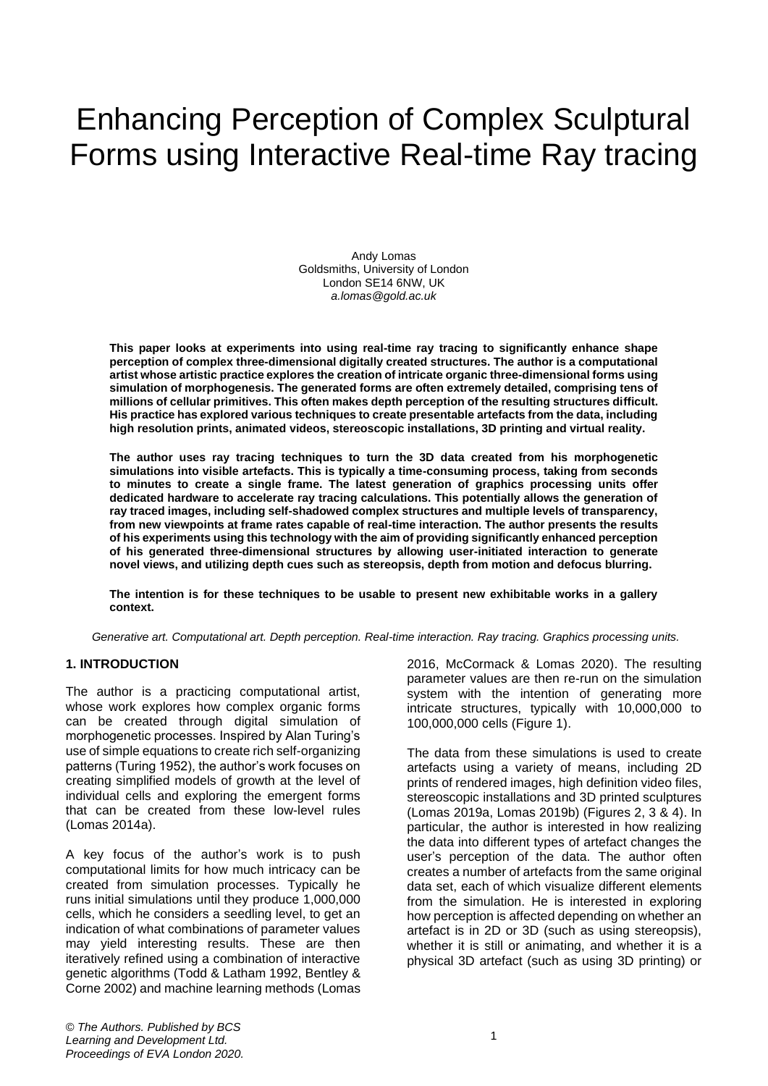# Enhancing Perception of Complex Sculptural Forms using Interactive Real-time Ray tracing

Andy Lomas Goldsmiths, University of London London SE14 6NW, UK *a.lomas@gold.ac.uk*

**This paper looks at experiments into using real-time ray tracing to significantly enhance shape perception of complex three-dimensional digitally created structures. The author is a computational artist whose artistic practice explores the creation of intricate organic three-dimensional forms using simulation of morphogenesis. The generated forms are often extremely detailed, comprising tens of millions of cellular primitives. This often makes depth perception of the resulting structures difficult. His practice has explored various techniques to create presentable artefacts from the data, including high resolution prints, animated videos, stereoscopic installations, 3D printing and virtual reality.** 

**The author uses ray tracing techniques to turn the 3D data created from his morphogenetic simulations into visible artefacts. This is typically a time-consuming process, taking from seconds to minutes to create a single frame. The latest generation of graphics processing units offer dedicated hardware to accelerate ray tracing calculations. This potentially allows the generation of ray traced images, including self-shadowed complex structures and multiple levels of transparency, from new viewpoints at frame rates capable of real-time interaction. The author presents the results of his experiments using this technology with the aim of providing significantly enhanced perception of his generated three-dimensional structures by allowing user-initiated interaction to generate novel views, and utilizing depth cues such as stereopsis, depth from motion and defocus blurring.**

**The intention is for these techniques to be usable to present new exhibitable works in a gallery context.**

*Generative art. Computational art. Depth perception. Real-time interaction. Ray tracing. Graphics processing units.*

#### **1. INTRODUCTION**

The author is a practicing computational artist, whose work explores how complex organic forms can be created through digital simulation of morphogenetic processes. Inspired by Alan Turing's use of simple equations to create rich self-organizing patterns (Turing 1952), the author's work focuses on creating simplified models of growth at the level of individual cells and exploring the emergent forms that can be created from these low-level rules (Lomas 2014a).

A key focus of the author's work is to push computational limits for how much intricacy can be created from simulation processes. Typically he runs initial simulations until they produce 1,000,000 cells, which he considers a seedling level, to get an indication of what combinations of parameter values may yield interesting results. These are then iteratively refined using a combination of interactive genetic algorithms (Todd & Latham 1992, Bentley & Corne 2002) and machine learning methods (Lomas

2016, McCormack & Lomas 2020). The resulting parameter values are then re-run on the simulation system with the intention of generating more intricate structures, typically with 10,000,000 to 100,000,000 cells (Figure 1).

The data from these simulations is used to create artefacts using a variety of means, including 2D prints of rendered images, high definition video files, stereoscopic installations and 3D printed sculptures (Lomas 2019a, Lomas 2019b) (Figures 2, 3 & 4). In particular, the author is interested in how realizing the data into different types of artefact changes the user's perception of the data. The author often creates a number of artefacts from the same original data set, each of which visualize different elements from the simulation. He is interested in exploring how perception is affected depending on whether an artefact is in 2D or 3D (such as using stereopsis), whether it is still or animating, and whether it is a physical 3D artefact (such as using 3D printing) or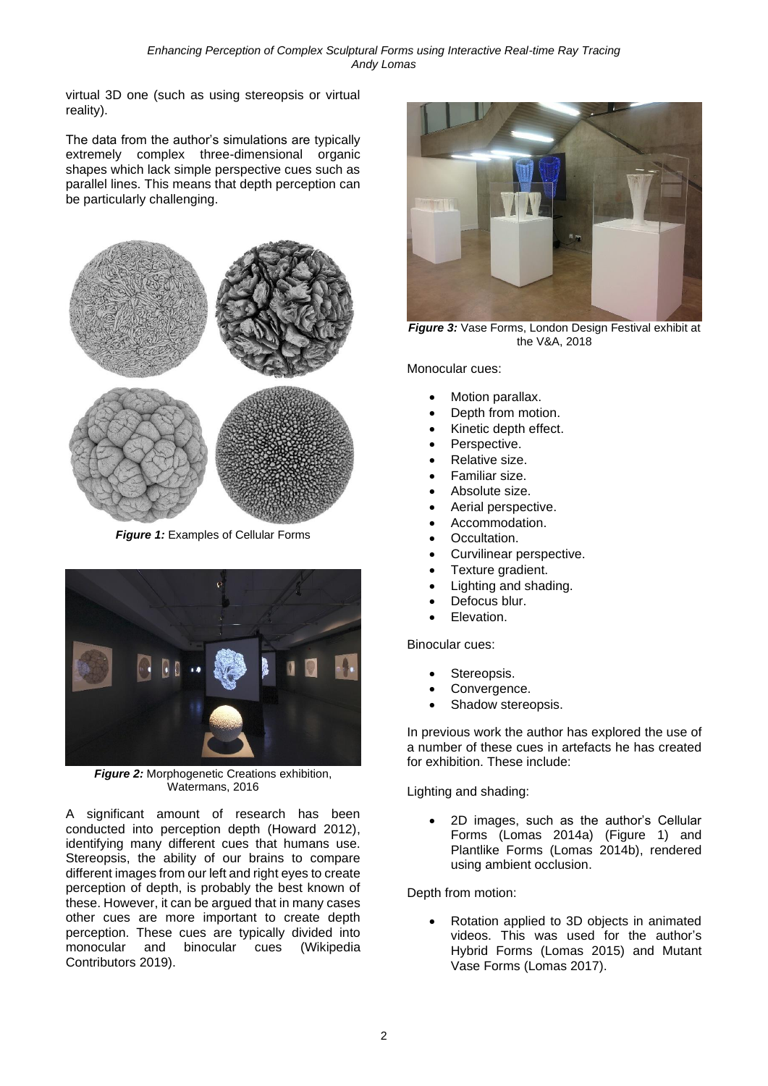virtual 3D one (such as using stereopsis or virtual reality).

The data from the author's simulations are typically extremely complex three-dimensional organic shapes which lack simple perspective cues such as parallel lines. This means that depth perception can be particularly challenging.



*Figure 1:* Examples of Cellular Forms



**Figure 2:** Morphogenetic Creations exhibition, Watermans, 2016

A significant amount of research has been conducted into perception depth (Howard 2012), identifying many different cues that humans use. Stereopsis, the ability of our brains to compare different images from our left and right eyes to create perception of depth, is probably the best known of these. However, it can be argued that in many cases other cues are more important to create depth perception. These cues are typically divided into monocular and binocular cues (Wikipedia Contributors 2019).



**Figure 3:** Vase Forms, London Design Festival exhibit at the V&A, 2018

Monocular cues:

- Motion parallax.
- Depth from motion.
- Kinetic depth effect.
- Perspective.
- Relative size.
- Familiar size.
- Absolute size.
- Aerial perspective.
- Accommodation.
- Occultation.
- Curvilinear perspective.
- Texture gradient.
- Lighting and shading.
- Defocus blur.
- Elevation.

Binocular cues:

- Stereopsis.
- Convergence.
- Shadow stereopsis.

In previous work the author has explored the use of a number of these cues in artefacts he has created for exhibition. These include:

Lighting and shading:

• 2D images, such as the author's Cellular Forms (Lomas 2014a) (Figure 1) and Plantlike Forms (Lomas 2014b), rendered using ambient occlusion.

Depth from motion:

• Rotation applied to 3D objects in animated videos. This was used for the author's Hybrid Forms (Lomas 2015) and Mutant Vase Forms (Lomas 2017).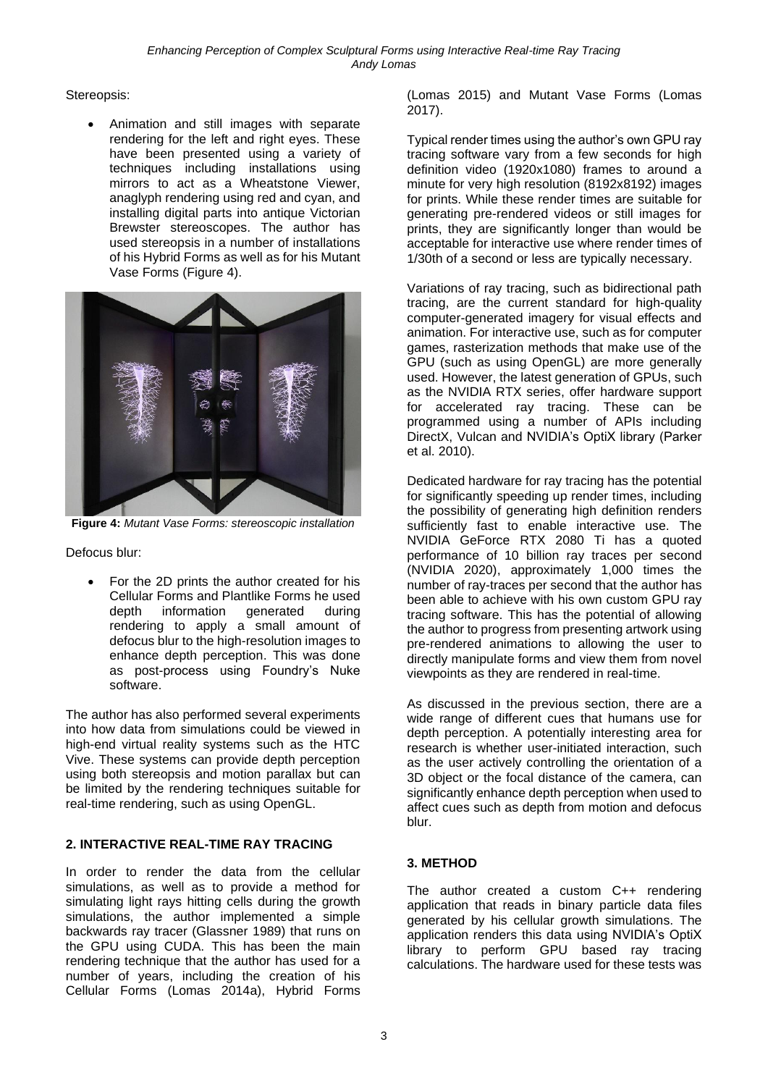Stereopsis:

• Animation and still images with separate rendering for the left and right eyes. These have been presented using a variety of techniques including installations using mirrors to act as a Wheatstone Viewer, anaglyph rendering using red and cyan, and installing digital parts into antique Victorian Brewster stereoscopes. The author has used stereopsis in a number of installations of his Hybrid Forms as well as for his Mutant Vase Forms (Figure 4).



**Figure 4:** *Mutant Vase Forms: stereoscopic installation*

Defocus blur:

• For the 2D prints the author created for his Cellular Forms and Plantlike Forms he used depth information generated during rendering to apply a small amount of defocus blur to the high-resolution images to enhance depth perception. This was done as post-process using Foundry's Nuke software.

The author has also performed several experiments into how data from simulations could be viewed in high-end virtual reality systems such as the HTC Vive. These systems can provide depth perception using both stereopsis and motion parallax but can be limited by the rendering techniques suitable for real-time rendering, such as using OpenGL.

## **2. INTERACTIVE REAL-TIME RAY TRACING**

In order to render the data from the cellular simulations, as well as to provide a method for simulating light rays hitting cells during the growth simulations, the author implemented a simple backwards ray tracer (Glassner 1989) that runs on the GPU using CUDA. This has been the main rendering technique that the author has used for a number of years, including the creation of his Cellular Forms (Lomas 2014a), Hybrid Forms

(Lomas 2015) and Mutant Vase Forms (Lomas 2017).

Typical render times using the author's own GPU ray tracing software vary from a few seconds for high definition video (1920x1080) frames to around a minute for very high resolution (8192x8192) images for prints. While these render times are suitable for generating pre-rendered videos or still images for prints, they are significantly longer than would be acceptable for interactive use where render times of 1/30th of a second or less are typically necessary.

Variations of ray tracing, such as bidirectional path tracing, are the current standard for high-quality computer-generated imagery for visual effects and animation. For interactive use, such as for computer games, rasterization methods that make use of the GPU (such as using OpenGL) are more generally used. However, the latest generation of GPUs, such as the NVIDIA RTX series, offer hardware support for accelerated ray tracing. These can be programmed using a number of APIs including DirectX, Vulcan and NVIDIA's OptiX library (Parker et al. 2010).

Dedicated hardware for ray tracing has the potential for significantly speeding up render times, including the possibility of generating high definition renders sufficiently fast to enable interactive use. The NVIDIA GeForce RTX 2080 Ti has a quoted performance of 10 billion ray traces per second (NVIDIA 2020), approximately 1,000 times the number of ray-traces per second that the author has been able to achieve with his own custom GPU ray tracing software. This has the potential of allowing the author to progress from presenting artwork using pre-rendered animations to allowing the user to directly manipulate forms and view them from novel viewpoints as they are rendered in real-time.

As discussed in the previous section, there are a wide range of different cues that humans use for depth perception. A potentially interesting area for research is whether user-initiated interaction, such as the user actively controlling the orientation of a 3D object or the focal distance of the camera, can significantly enhance depth perception when used to affect cues such as depth from motion and defocus blur.

# **3. METHOD**

The author created a custom C++ rendering application that reads in binary particle data files generated by his cellular growth simulations. The application renders this data using NVIDIA's OptiX library to perform GPU based ray tracing calculations. The hardware used for these tests was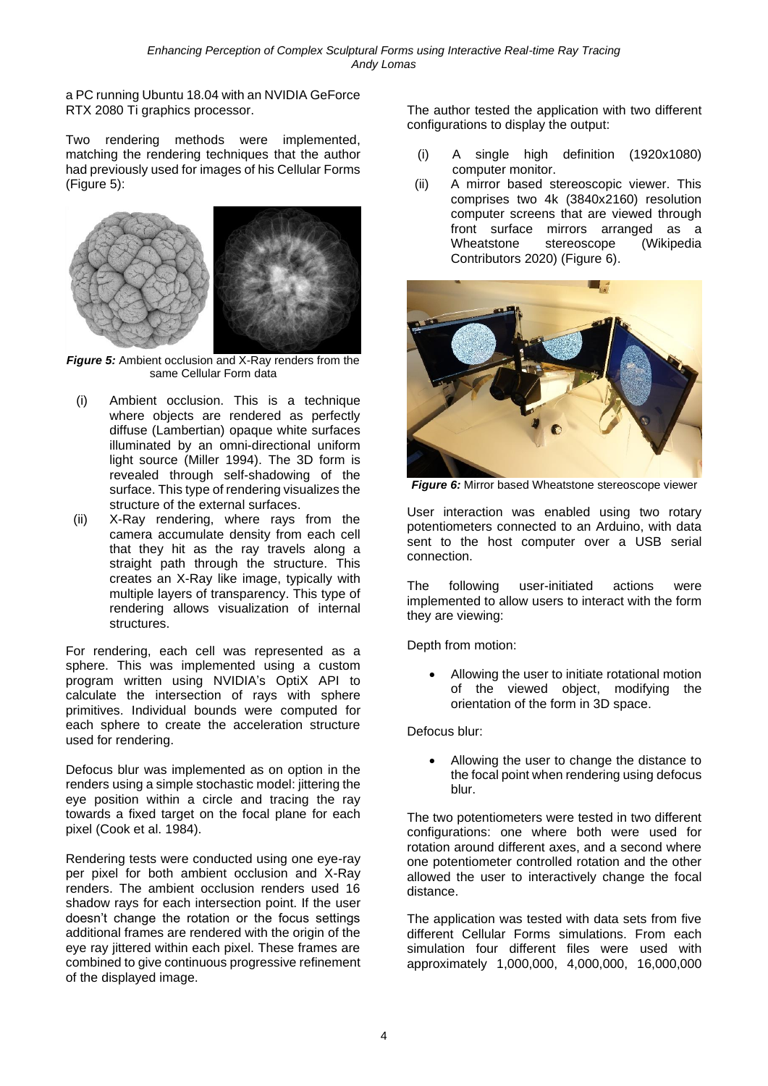a PC running Ubuntu 18.04 with an NVIDIA GeForce RTX 2080 Ti graphics processor.

Two rendering methods were implemented, matching the rendering techniques that the author had previously used for images of his Cellular Forms (Figure 5):



**Figure 5:** Ambient occlusion and X-Ray renders from the same Cellular Form data

- (i) Ambient occlusion. This is a technique where objects are rendered as perfectly diffuse (Lambertian) opaque white surfaces illuminated by an omni-directional uniform light source (Miller 1994). The 3D form is revealed through self-shadowing of the surface. This type of rendering visualizes the structure of the external surfaces.
- (ii) X-Ray rendering, where rays from the camera accumulate density from each cell that they hit as the ray travels along a straight path through the structure. This creates an X-Ray like image, typically with multiple layers of transparency. This type of rendering allows visualization of internal structures.

For rendering, each cell was represented as a sphere. This was implemented using a custom program written using NVIDIA's OptiX API to calculate the intersection of rays with sphere primitives. Individual bounds were computed for each sphere to create the acceleration structure used for rendering.

Defocus blur was implemented as on option in the renders using a simple stochastic model: jittering the eye position within a circle and tracing the ray towards a fixed target on the focal plane for each pixel (Cook et al. 1984).

Rendering tests were conducted using one eye-ray per pixel for both ambient occlusion and X-Ray renders. The ambient occlusion renders used 16 shadow rays for each intersection point. If the user doesn't change the rotation or the focus settings additional frames are rendered with the origin of the eye ray jittered within each pixel. These frames are combined to give continuous progressive refinement of the displayed image.

The author tested the application with two different configurations to display the output:

- (i) A single high definition (1920x1080) computer monitor.
- (ii) A mirror based stereoscopic viewer. This comprises two 4k (3840x2160) resolution computer screens that are viewed through front surface mirrors arranged as a Wheatstone stereoscope (Wikipedia Contributors 2020) (Figure 6).



*Figure 6:* Mirror based Wheatstone stereoscope viewer

User interaction was enabled using two rotary potentiometers connected to an Arduino, with data sent to the host computer over a USB serial connection.

The following user-initiated actions were implemented to allow users to interact with the form they are viewing:

Depth from motion:

• Allowing the user to initiate rotational motion of the viewed object, modifying the orientation of the form in 3D space.

Defocus blur:

• Allowing the user to change the distance to the focal point when rendering using defocus blur.

The two potentiometers were tested in two different configurations: one where both were used for rotation around different axes, and a second where one potentiometer controlled rotation and the other allowed the user to interactively change the focal distance.

The application was tested with data sets from five different Cellular Forms simulations. From each simulation four different files were used with approximately 1,000,000, 4,000,000, 16,000,000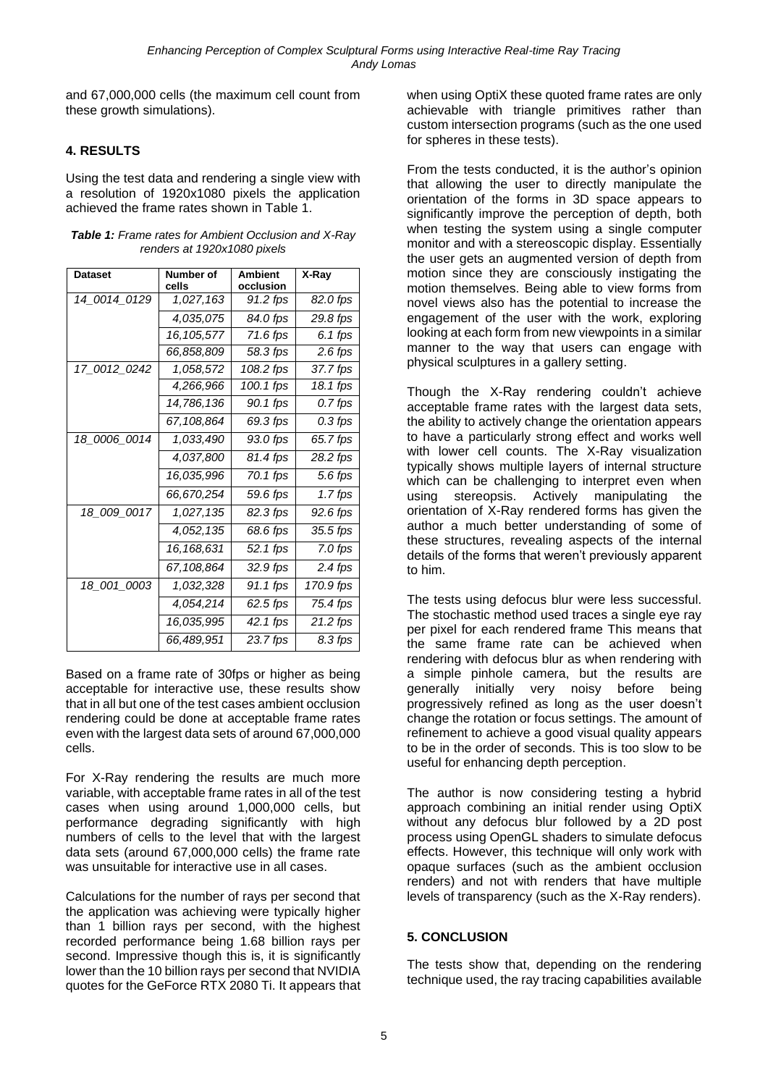and 67,000,000 cells (the maximum cell count from these growth simulations).

## **4. RESULTS**

Using the test data and rendering a single view with a resolution of 1920x1080 pixels the application achieved the frame rates shown in Table 1.

| <b>Dataset</b> | Number of<br>cells | <b>Ambient</b><br>occlusion | X-Ray     |
|----------------|--------------------|-----------------------------|-----------|
| 14_0014_0129   | 1,027,163          | 91.2 fps                    | 82.0 fps  |
|                | 4,035,075          | 84.0 fps                    | 29.8 fps  |
|                | 16, 105, 577       | 71.6 fps                    | 6.1 fps   |
|                | 66,858,809         | 58.3 fps                    | 2.6 fps   |
| 17_0012_0242   | 1,058,572          | 108.2 fps                   | 37.7 fps  |
|                | 4,266,966          | 100.1 fps                   | 18.1 fps  |
|                | 14,786,136         | 90.1 fps                    | 0.7 fps   |
|                | 67,108,864         | 69.3 fps                    | 0.3 fps   |
| 18_0006_0014   | 1,033,490          | 93.0 fps                    | 65.7 fps  |
|                | 4,037,800          | 81.4 fps                    | 28.2 fps  |
|                | 16,035,996         | 70.1 fps                    | 5.6 fps   |
|                | 66,670,254         | 59.6 fps                    | 1.7 fps   |
| 18_009_0017    | 1,027,135          | 82.3 fps                    | 92.6 fps  |
|                | 4,052,135          | 68.6 fps                    | 35.5 fps  |
|                | 16,168,631         | 52.1 fps                    | 7.0 fps   |
|                | 67,108,864         | 32.9 fps                    | 2.4 fps   |
| 18_001_0003    | 1,032,328          | 91.1 fps                    | 170.9 fps |
|                | 4,054,214          | 62.5 fps                    | 75.4 fps  |
|                | 16,035,995         | 42.1 fps                    | 21.2 fps  |
|                | 66,489,951         | 23.7 fps                    | 8.3 fps   |

*Table 1: Frame rates for Ambient Occlusion and X-Ray renders at 1920x1080 pixels*

Based on a frame rate of 30fps or higher as being acceptable for interactive use, these results show that in all but one of the test cases ambient occlusion rendering could be done at acceptable frame rates even with the largest data sets of around 67,000,000 cells.

For X-Ray rendering the results are much more variable, with acceptable frame rates in all of the test cases when using around 1,000,000 cells, but performance degrading significantly with high numbers of cells to the level that with the largest data sets (around 67,000,000 cells) the frame rate was unsuitable for interactive use in all cases.

Calculations for the number of rays per second that the application was achieving were typically higher than 1 billion rays per second, with the highest recorded performance being 1.68 billion rays per second. Impressive though this is, it is significantly lower than the 10 billion rays per second that NVIDIA quotes for the GeForce RTX 2080 Ti. It appears that when using OptiX these quoted frame rates are only achievable with triangle primitives rather than custom intersection programs (such as the one used for spheres in these tests).

From the tests conducted, it is the author's opinion that allowing the user to directly manipulate the orientation of the forms in 3D space appears to significantly improve the perception of depth, both when testing the system using a single computer monitor and with a stereoscopic display. Essentially the user gets an augmented version of depth from motion since they are consciously instigating the motion themselves. Being able to view forms from novel views also has the potential to increase the engagement of the user with the work, exploring looking at each form from new viewpoints in a similar manner to the way that users can engage with physical sculptures in a gallery setting.

Though the X-Ray rendering couldn't achieve acceptable frame rates with the largest data sets, the ability to actively change the orientation appears to have a particularly strong effect and works well with lower cell counts. The X-Ray visualization typically shows multiple layers of internal structure which can be challenging to interpret even when using stereopsis. Actively manipulating the orientation of X-Ray rendered forms has given the author a much better understanding of some of these structures, revealing aspects of the internal details of the forms that weren't previously apparent to him.

The tests using defocus blur were less successful. The stochastic method used traces a single eye ray per pixel for each rendered frame This means that the same frame rate can be achieved when rendering with defocus blur as when rendering with a simple pinhole camera, but the results are generally initially very noisy before being progressively refined as long as the user doesn't change the rotation or focus settings. The amount of refinement to achieve a good visual quality appears to be in the order of seconds. This is too slow to be useful for enhancing depth perception.

The author is now considering testing a hybrid approach combining an initial render using OptiX without any defocus blur followed by a 2D post process using OpenGL shaders to simulate defocus effects. However, this technique will only work with opaque surfaces (such as the ambient occlusion renders) and not with renders that have multiple levels of transparency (such as the X-Ray renders).

#### **5. CONCLUSION**

The tests show that, depending on the rendering technique used, the ray tracing capabilities available